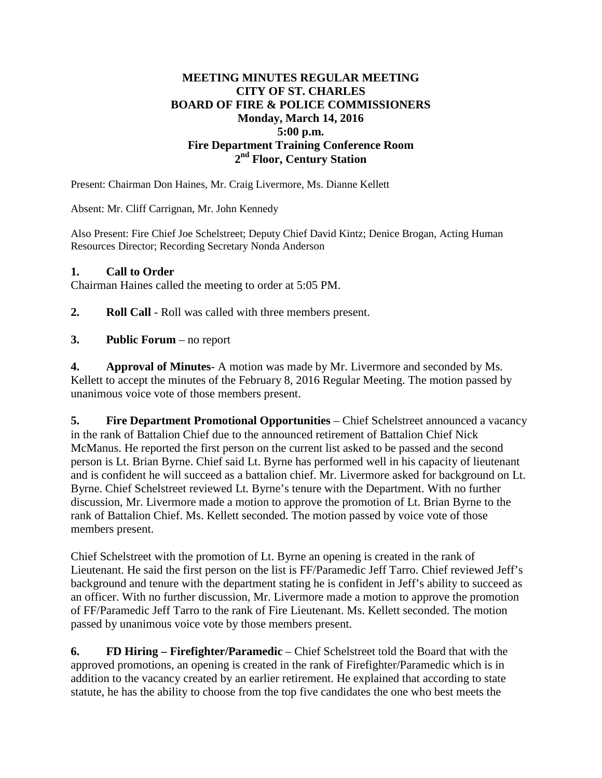## **MEETING MINUTES REGULAR MEETING CITY OF ST. CHARLES BOARD OF FIRE & POLICE COMMISSIONERS Monday, March 14, 2016 5:00 p.m. Fire Department Training Conference Room 2nd Floor, Century Station**

Present: Chairman Don Haines, Mr. Craig Livermore, Ms. Dianne Kellett

Absent: Mr. Cliff Carrignan, Mr. John Kennedy

Also Present: Fire Chief Joe Schelstreet; Deputy Chief David Kintz; Denice Brogan, Acting Human Resources Director; Recording Secretary Nonda Anderson

## **1. Call to Order**

Chairman Haines called the meeting to order at 5:05 PM.

**2. Roll Call** - Roll was called with three members present.

## **3. Public Forum** – no report

**4. Approval of Minutes**- A motion was made by Mr. Livermore and seconded by Ms. Kellett to accept the minutes of the February 8, 2016 Regular Meeting. The motion passed by unanimous voice vote of those members present.

**5. Fire Department Promotional Opportunities** – Chief Schelstreet announced a vacancy in the rank of Battalion Chief due to the announced retirement of Battalion Chief Nick McManus. He reported the first person on the current list asked to be passed and the second person is Lt. Brian Byrne. Chief said Lt. Byrne has performed well in his capacity of lieutenant and is confident he will succeed as a battalion chief. Mr. Livermore asked for background on Lt. Byrne. Chief Schelstreet reviewed Lt. Byrne's tenure with the Department. With no further discussion, Mr. Livermore made a motion to approve the promotion of Lt. Brian Byrne to the rank of Battalion Chief. Ms. Kellett seconded. The motion passed by voice vote of those members present.

Chief Schelstreet with the promotion of Lt. Byrne an opening is created in the rank of Lieutenant. He said the first person on the list is FF/Paramedic Jeff Tarro. Chief reviewed Jeff's background and tenure with the department stating he is confident in Jeff's ability to succeed as an officer. With no further discussion, Mr. Livermore made a motion to approve the promotion of FF/Paramedic Jeff Tarro to the rank of Fire Lieutenant. Ms. Kellett seconded. The motion passed by unanimous voice vote by those members present.

**6. FD Hiring – Firefighter/Paramedic** – Chief Schelstreet told the Board that with the approved promotions, an opening is created in the rank of Firefighter/Paramedic which is in addition to the vacancy created by an earlier retirement. He explained that according to state statute, he has the ability to choose from the top five candidates the one who best meets the